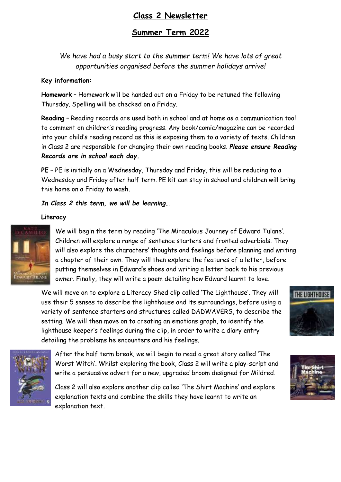# **Class 2 Newsletter**

# **Summer Term 2022**

*We have had a busy start to the summer term! We have lots of great opportunities organised before the summer holidays arrive!*

#### **Key information:**

**Homework** – Homework will be handed out on a Friday to be retuned the following Thursday. Spelling will be checked on a Friday.

**Reading** – Reading records are used both in school and at home as a communication tool to comment on children's reading progress. Any book/comic/magazine can be recorded into your child's reading record as this is exposing them to a variety of texts. Children in Class 2 are responsible for changing their own reading books. *Please ensure Reading Records are in school each day.* 

**PE** – PE is initially on a Wednesday, Thursday and Friday, this will be reducing to a Wednesday and Friday after half term. PE kit can stay in school and children will bring this home on a Friday to wash.

#### *In Class 2 this term, we will be learning…*

#### **Literacy**



We will begin the term by reading 'The Miraculous Journey of Edward Tulane'. Children will explore a range of sentence starters and fronted adverbials. They will also explore the characters' thoughts and feelings before planning and writing a chapter of their own. They will then explore the features of a letter, before putting themselves in Edward's shoes and writing a letter back to his previous owner. Finally, they will write a poem detailing how Edward learnt to love.

We will move on to explore a Literacy Shed clip called 'The Lighthouse'. They will use their 5 senses to describe the lighthouse and its surroundings, before using a variety of sentence starters and structures called DADWAVERS, to describe the setting. We will then move on to creating an emotions graph, to identify the lighthouse keeper's feelings during the clip, in order to write a diary entry detailing the problems he encounters and his feelings.



After the half term break, we will begin to read a great story called 'The Worst Witch'. Whilst exploring the book, Class 2 will write a play-script and write a persuasive advert for a new, upgraded broom designed for Mildred.

Class 2 will also explore another clip called 'The Shirt Machine' and explore explanation texts and combine the skills they have learnt to write an explanation text.



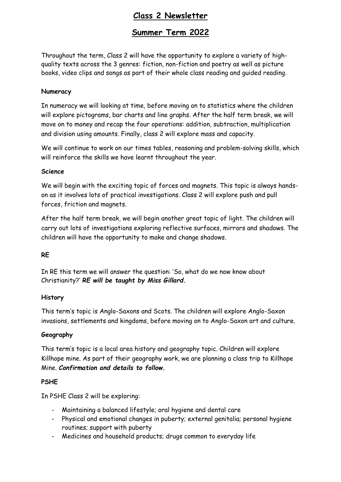# **Class 2 Newsletter**

# **Summer Term 2022**

Throughout the term, Class 2 will have the opportunity to explore a variety of highquality texts across the 3 genres: fiction, non-fiction and poetry as well as picture books, video clips and songs as part of their whole class reading and guided reading.

#### **Numeracy**

In numeracy we will looking at time, before moving on to statistics where the children will explore pictograms, bar charts and line graphs. After the half term break, we will move on to money and recap the four operations: addition, subtraction, multiplication and division using amounts. Finally, class 2 will explore mass and capacity.

We will continue to work on our times tables, reasoning and problem-solving skills, which will reinforce the skills we have learnt throughout the year.

#### **Science**

We will begin with the exciting topic of forces and magnets. This topic is always handson as it involves lots of practical investigations. Class 2 will explore push and pull forces, friction and magnets.

After the half term break, we will begin another great topic of light. The children will carry out lots of investigations exploring reflective surfaces, mirrors and shadows. The children will have the opportunity to make and change shadows.

## **RE**

In RE this term we will answer the question: 'So, what do we now know about Christianity?' *RE will be taught by Miss Gillard.*

#### **History**

This term's topic is Anglo-Saxons and Scots. The children will explore Anglo-Saxon invasions, settlements and kingdoms, before moving on to Anglo-Saxon art and culture.

## **Geography**

This term's topic is a local area history and geography topic. Children will explore Killhope mine. As part of their geography work, we are planning a class trip to Killhope Mine. *Confirmation and details to follow.*

## **PSHE**

In PSHE Class 2 will be exploring:

- Maintaining a balanced lifestyle; oral hygiene and dental care
- Physical and emotional changes in puberty; external genitalia; personal hygiene routines; support with puberty
- Medicines and household products; drugs common to everyday life